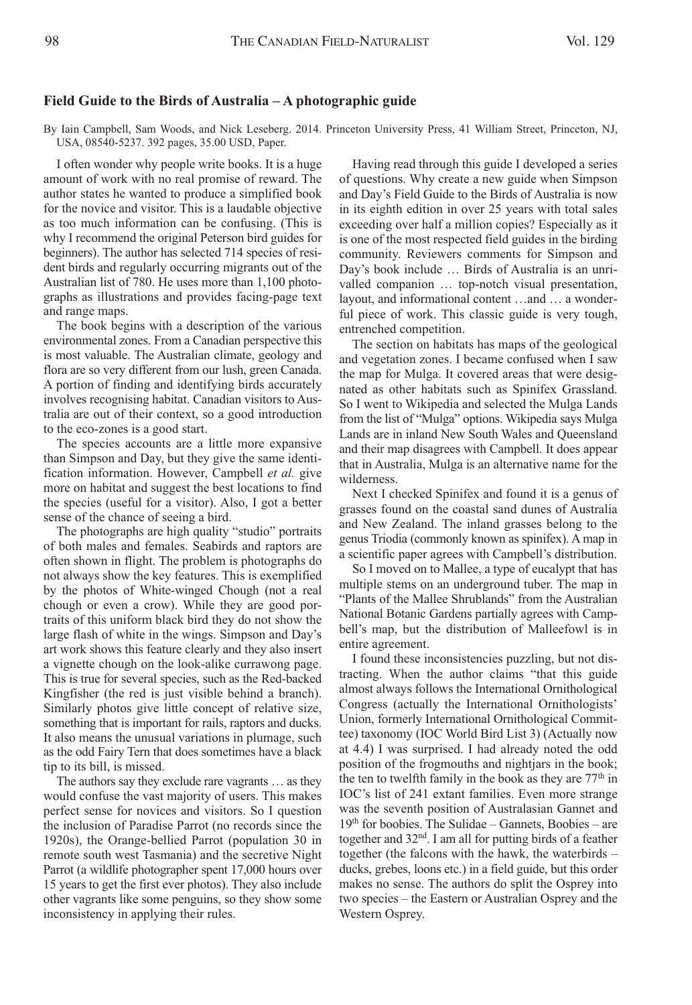## **Field Guide to the Birds of Australia – A photographic guide**

By Iain Campbell, Sam Woods, and Nick Leseberg. 2014. Princeton University Press, 41 William Street, Princeton, NJ, USA, 08540-5237. 392 pages, 35.00 USD, Paper.

I often wonder why people write books. It is a huge amount of work with no real promise of reward. The author states he wanted to produce a simplified book for the novice and visitor. This is a laudable objective as too much information can be confusing. (This is why I recommend the original Peterson bird guides for beginners). The author has selected 714 species of resident birds and regularly occurring migrants out of the Australian list of 780. He uses more than 1,100 photographs as illustrations and provides facing-page text and range maps.

The book begins with a description of the various environmental zones. From a Canadian perspective this is most valuable. The Australian climate, geology and flora are so very different from our lush, green Canada. A portion of finding and identifying birds accurately involves recognising habitat. Canadian visitors to Australia are out of their context, so a good introduction to the eco-zones is a good start.

The species accounts are a little more expansive than Simpson and Day, but they give the same identification information. However, Campbell *et al.* give more on habitat and suggest the best locations to find the species (useful for a visitor). Also, I got a better sense of the chance of seeing a bird.

The photographs are high quality "studio" portraits of both males and females. Seabirds and raptors are often shown in flight. The problem is photographs do not always show the key features. This is exemplified by the photos of White-winged Chough (not a real chough or even a crow). While they are good portraits of this uniform black bird they do not show the large flash of white in the wings. Simpson and Day's art work shows this feature clearly and they also insert a vignette chough on the look-alike currawong page. This is true for several species, such as the Red-backed Kingfisher (the red is just visible behind a branch). Similarly photos give little concept of relative size, something that is important for rails, raptors and ducks. It also means the unusual variations in plumage, such as the odd Fairy Tern that does sometimes have a black tip to its bill, is missed.

The authors say they exclude rare vagrants … as they would confuse the vast majority of users. This makes perfect sense for novices and visitors. So I question the inclusion of Paradise Parrot (no records since the 1920s), the Orange-bellied Parrot (population 30 in remote south west Tasmania) and the secretive Night Parrot (a wildlife photographer spent 17,000 hours over 15 years to get the first ever photos). They also include other vagrants like some penguins, so they show some inconsistency in applying their rules.

Having read through this guide I developed a series of questions. Why create a new guide when Simpson and Day's Field Guide to the Birds of Australia is now in its eighth edition in over 25 years with total sales exceeding over half a million copies? Especially as it is one of the most respected field guides in the birding community. Reviewers comments for Simpson and Day's book include … Birds of Australia is an unrivalled companion … top-notch visual presentation, layout, and informational content …and … a wonderful piece of work. This classic guide is very tough, entrenched competition.

The section on habitats has maps of the geological and vegetation zones. I became confused when I saw the map for Mulga. It covered areas that were designated as other habitats such as Spinifex Grassland. So I went to Wikipedia and selected the Mulga Lands from the list of "Mulga" options. Wikipedia says Mulga Lands are in inland New South Wales and Queensland and their map disagrees with Campbell. It does appear that in Australia, Mulga is an alternative name for the wilderness.

Next I checked Spinifex and found it is a genus of grasses found on the coastal sand dunes of Australia and New Zealand. The inland grasses belong to the genus Triodia (commonly known as spinifex). A map in a scientific paper agrees with Campbell's distribution.

So I moved on to Mallee, a type of eucalypt that has multiple stems on an underground tuber. The map in "Plants of the Mallee Shrublands" from the Australian National Botanic Gardens partially agrees with Campbell's map, but the distribution of Malleefowl is in entire agreement.

I found these inconsistencies puzzling, but not distracting. When the author claims "that this guide almost always follows the International Ornithological Congress (actually the International Ornithologists' Union, formerly International Ornithological Committee) taxonomy (IOC World Bird List 3) (Actually now at 4.4) I was surprised. I had already noted the odd position of the frogmouths and nightjars in the book; the ten to twelfth family in the book as they are  $77<sup>th</sup>$  in IOC's list of 241 extant families. Even more strange was the seventh position of Australasian Gannet and 19th for boobies. The Sulidae – Gannets, Boobies – are together and 32<sup>nd</sup>. I am all for putting birds of a feather together (the falcons with the hawk, the waterbirds – ducks, grebes, loons etc.) in a field guide, but this order makes no sense. The authors do split the Osprey into two species – the Eastern or Australian Osprey and the Western Osprey.